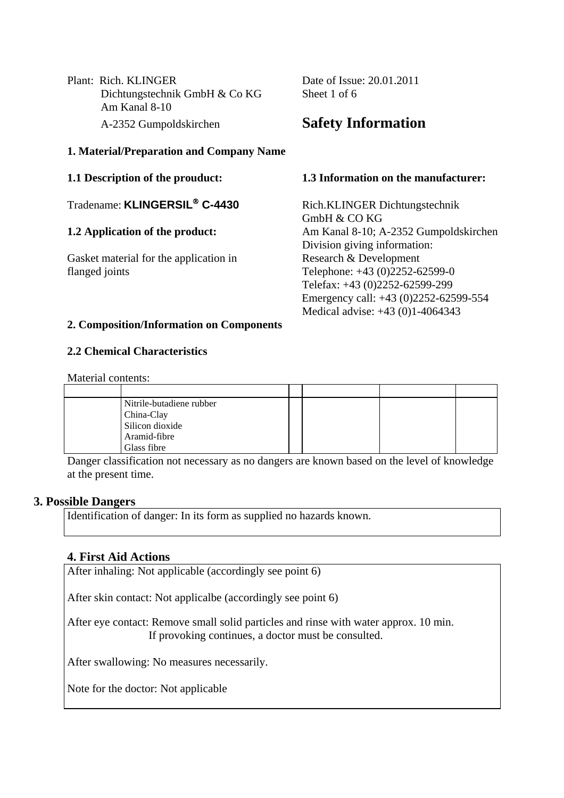Plant: Rich. KLINGER Date of Issue: 20.01.2011 Dichtungstechnik GmbH & Co KG Sheet 1 of 6 Am Kanal 8-10 A-2352 Gumpoldskirchen **Safety Information**

### **1. Material/Preparation and Company Name**

Tradename: **KLINGERSIL**® **C-4430** Rich.KLINGER Dichtungstechnik

Gasket material for the application in Research & Development flanged joints Telephone: +43 (0)2252-62599-0

#### **1.1 Description of the prouduct: 1.3 Information on the manufacturer:**

GmbH & CO KG **1.2 Application of the product:** Am Kanal 8-10; A-2352 Gumpoldskirchen Division giving information: Telefax: +43 (0)2252-62599-299 Emergency call: +43 (0)2252-62599-554 Medical advise: +43 (0)1-4064343

### **2. Composition/Information on Components**

### **2.2 Chemical Characteristics**

Material contents:

| Nitrile-butadiene rubber |  |  |
|--------------------------|--|--|
| China-Clay               |  |  |
| Silicon dioxide          |  |  |
| Aramid-fibre             |  |  |
| Glass fibre              |  |  |

Danger classification not necessary as no dangers are known based on the level of knowledge at the present time.

#### **3. Possible Dangers**

Identification of danger: In its form as supplied no hazards known.

### **4. First Aid Actions**

After inhaling: Not applicable (accordingly see point 6)

After skin contact: Not applicalbe (accordingly see point 6)

After eye contact: Remove small solid particles and rinse with water approx. 10 min. If provoking continues, a doctor must be consulted.

After swallowing: No measures necessarily.

Note for the doctor: Not applicable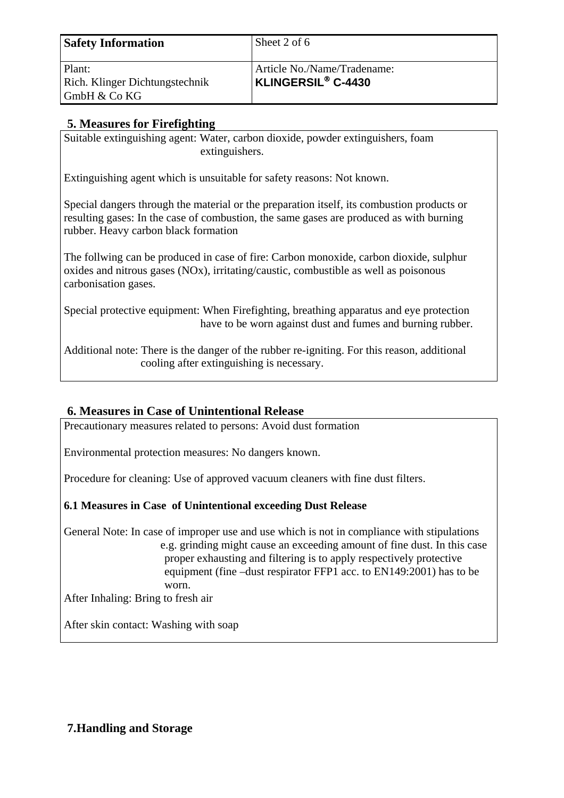| <b>Safety Information</b>      | Sheet 2 of 6                |
|--------------------------------|-----------------------------|
| Plant:                         | Article No./Name/Tradename: |
| Rich. Klinger Dichtungstechnik | <b>KLINGERSIL® C-4430</b>   |
| GmbH & Co KG                   |                             |

# **5. Measures for Firefighting**

Suitable extinguishing agent: Water, carbon dioxide, powder extinguishers, foam extinguishers.

Extinguishing agent which is unsuitable for safety reasons: Not known.

Special dangers through the material or the preparation itself, its combustion products or resulting gases: In the case of combustion, the same gases are produced as with burning rubber. Heavy carbon black formation

The follwing can be produced in case of fire: Carbon monoxide, carbon dioxide, sulphur oxides and nitrous gases (NOx), irritating/caustic, combustible as well as poisonous carbonisation gases.

Special protective equipment: When Firefighting, breathing apparatus and eye protection have to be worn against dust and fumes and burning rubber.

Additional note: There is the danger of the rubber re-igniting. For this reason, additional cooling after extinguishing is necessary.

# **6. Measures in Case of Unintentional Release**

Precautionary measures related to persons: Avoid dust formation

Environmental protection measures: No dangers known.

Procedure for cleaning: Use of approved vacuum cleaners with fine dust filters.

### **6.1 Measures in Case of Unintentional exceeding Dust Release**

General Note: In case of improper use and use which is not in compliance with stipulations e.g. grinding might cause an exceeding amount of fine dust. In this case proper exhausting and filtering is to apply respectively protective equipment (fine –dust respirator FFP1 acc. to EN149:2001) has to be worn.

After Inhaling: Bring to fresh air

After skin contact: Washing with soap

# **7.Handling and Storage**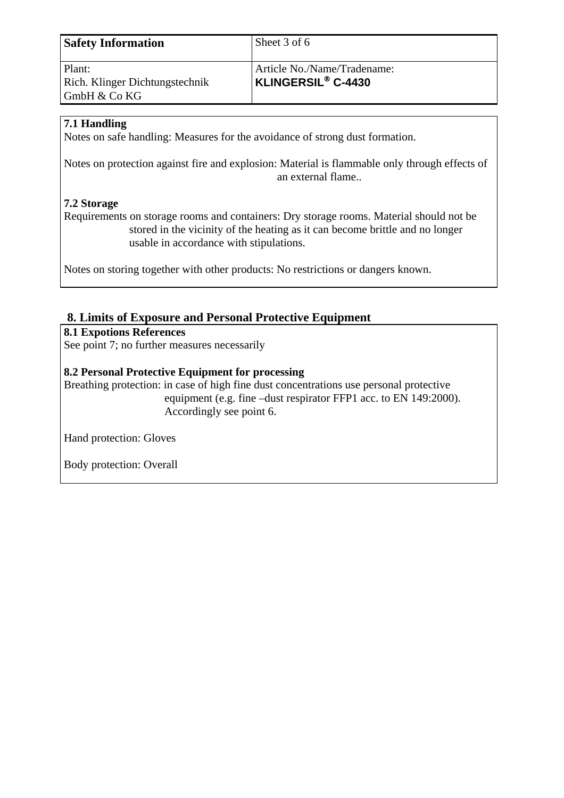| <b>Safety Information</b>                                | Sheet 3 of 6                                                  |
|----------------------------------------------------------|---------------------------------------------------------------|
| Plant:<br>Rich. Klinger Dichtungstechnik<br>GmbH & Co KG | Article No./Name/Tradename:<br>KLINGERSIL <sup>®</sup> C-4430 |

## **7.1 Handling**

Notes on safe handling: Measures for the avoidance of strong dust formation.

Notes on protection against fire and explosion: Material is flammable only through effects of an external flame..

## **7.2 Storage**

Requirements on storage rooms and containers: Dry storage rooms. Material should not be stored in the vicinity of the heating as it can become brittle and no longer usable in accordance with stipulations.

Notes on storing together with other products: No restrictions or dangers known.

# **8. Limits of Exposure and Personal Protective Equipment**

**8.1 Expotions References** 

See point 7; no further measures necessarily

### **8.2 Personal Protective Equipment for processing**

Breathing protection: in case of high fine dust concentrations use personal protective equipment (e.g. fine –dust respirator FFP1 acc. to EN 149:2000). Accordingly see point 6.

Hand protection: Gloves

Body protection: Overall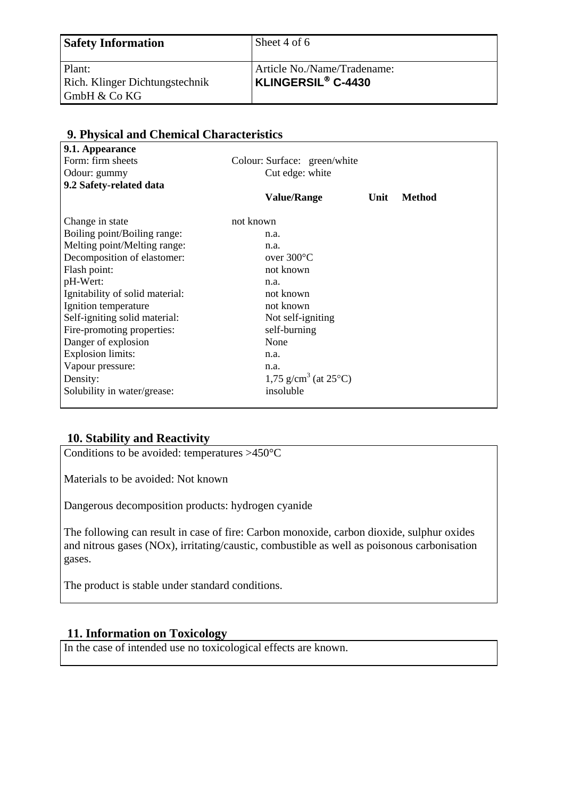| <b>Safety Information</b>                   | Sheet 4 of 6                   |
|---------------------------------------------|--------------------------------|
| Plant:                                      | Article No./Name/Tradename:    |
| Rich. Klinger Dichtungstechnik              | KLINGERSIL <sup>®</sup> C-4430 |
| $\mathsf{GmbH} \& \mathsf{Co}\,\mathsf{KG}$ |                                |

| 9.1. Appearance                 |                                            |      |        |
|---------------------------------|--------------------------------------------|------|--------|
| Form: firm sheets               | Colour: Surface: green/white               |      |        |
| Odour: gummy                    | Cut edge: white                            |      |        |
| 9.2 Safety-related data         |                                            |      |        |
|                                 | <b>Value/Range</b>                         | Unit | Method |
| Change in state                 | not known                                  |      |        |
| Boiling point/Boiling range:    | n.a.                                       |      |        |
| Melting point/Melting range:    | n.a.                                       |      |        |
| Decomposition of elastomer:     | over $300^{\circ}$ C                       |      |        |
| Flash point:                    | not known                                  |      |        |
| pH-Wert:                        | n.a.                                       |      |        |
| Ignitability of solid material: | not known                                  |      |        |
| Ignition temperature            | not known                                  |      |        |
| Self-igniting solid material:   | Not self-igniting                          |      |        |
| Fire-promoting properties:      | self-burning                               |      |        |
| Danger of explosion             | None                                       |      |        |
| <b>Explosion limits:</b>        | n.a.                                       |      |        |
| Vapour pressure:                | n.a.                                       |      |        |
| Density:                        | 1,75 g/cm <sup>3</sup> (at $25^{\circ}$ C) |      |        |
| Solubility in water/grease:     | insoluble                                  |      |        |

## **9. Physical and Chemical Characteristics**

### **10. Stability and Reactivity**

Conditions to be avoided: temperatures >450°C

Materials to be avoided: Not known

Dangerous decomposition products: hydrogen cyanide

The following can result in case of fire: Carbon monoxide, carbon dioxide, sulphur oxides and nitrous gases (NOx), irritating/caustic, combustible as well as poisonous carbonisation gases.

The product is stable under standard conditions.

### **11. Information on Toxicology**

In the case of intended use no toxicological effects are known.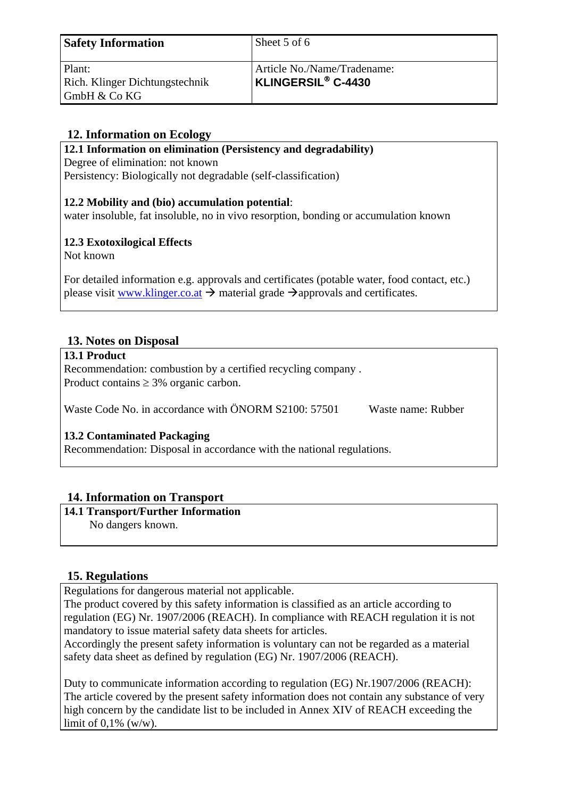| <b>Safety Information</b>                | Sheet 5 of 6                                                        |
|------------------------------------------|---------------------------------------------------------------------|
| Plant:<br>Rich. Klinger Dichtungstechnik | Article No./Name/Tradename:<br><b>KLINGERSIL<sup>®</sup> C-4430</b> |
| GmbH & Co KG                             |                                                                     |

# **12. Information on Ecology**

**12.1 Information on elimination (Persistency and degradability)** 

Degree of elimination: not known

Persistency: Biologically not degradable (self-classification)

### **12.2 Mobility and (bio) accumulation potential**:

water insoluble, fat insoluble, no in vivo resorption, bonding or accumulation known

# **12.3 Exotoxilogical Effects**

Not known

For detailed information e.g. approvals and certificates (potable water, food contact, etc.) please visit www.klinger.co.at  $\rightarrow$  material grade  $\rightarrow$  approvals and certificates.

# **13. Notes on Disposal**

#### **13.1 Product**

Recommendation: combustion by a certified recycling company . Product contains  $\geq$  3% organic carbon.

Waste Code No. in accordance with ÖNORM S2100: 57501 Waste name: Rubber

### **13.2 Contaminated Packaging**

Recommendation: Disposal in accordance with the national regulations.

# **14. Information on Transport**

### **14.1 Transport/Further Information**

No dangers known.

# **15. Regulations**

Regulations for dangerous material not applicable.

The product covered by this safety information is classified as an article according to regulation (EG) Nr. 1907/2006 (REACH). In compliance with REACH regulation it is not mandatory to issue material safety data sheets for articles.

Accordingly the present safety information is voluntary can not be regarded as a material safety data sheet as defined by regulation (EG) Nr. 1907/2006 (REACH).

Duty to communicate information according to regulation (EG) Nr.1907/2006 (REACH): The article covered by the present safety information does not contain any substance of very high concern by the candidate list to be included in Annex XIV of REACH exceeding the limit of  $0.1\%$  (w/w).